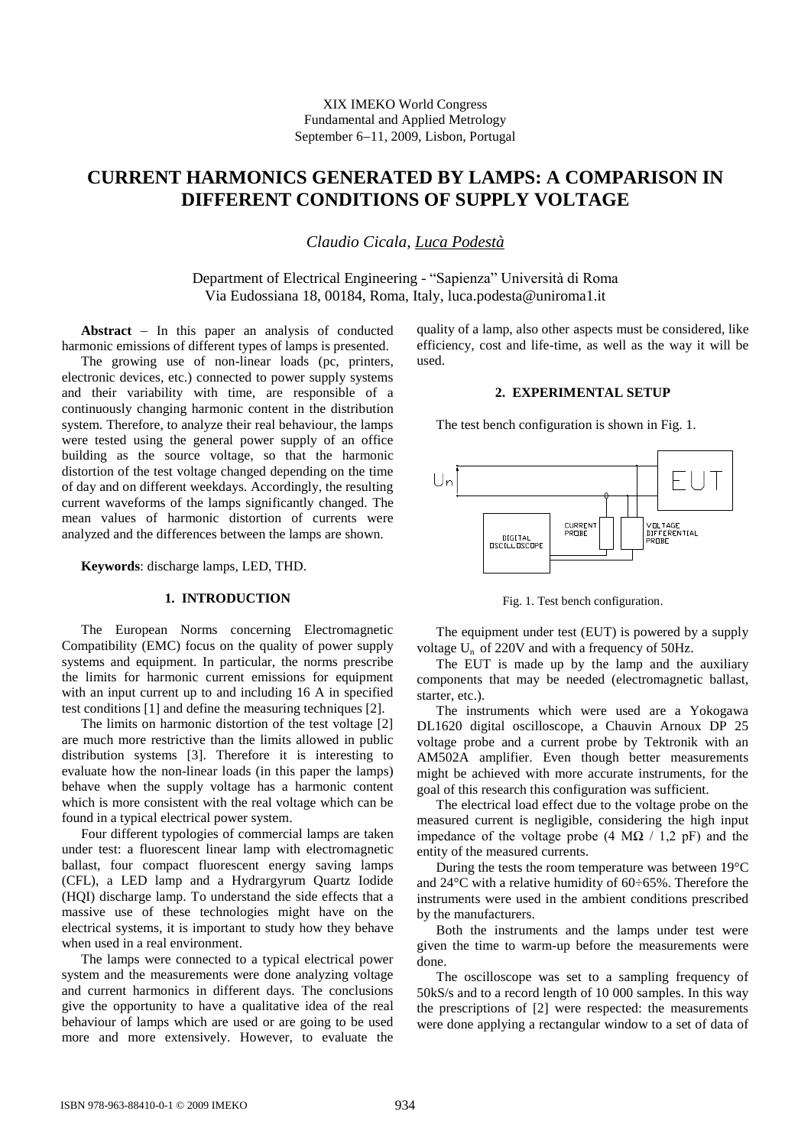# **CURRENT HARMONICS GENERATED BY LAMPS: A COMPARISON IN DIFFERENT CONDITIONS OF SUPPLY VOLTAGE**

*Claudio Cicala*, *Luca Podestà*

Department of Electrical Engineering - "Sapienza" Università di Roma Via Eudossiana 18, 00184, Roma, Italy, luca.podesta@uniroma1.it

Abstract - In this paper an analysis of conducted harmonic emissions of different types of lamps is presented.

The growing use of non-linear loads (pc, printers, electronic devices, etc.) connected to power supply systems and their variability with time, are responsible of a continuously changing harmonic content in the distribution system. Therefore, to analyze their real behaviour, the lamps were tested using the general power supply of an office building as the source voltage, so that the harmonic distortion of the test voltage changed depending on the time of day and on different weekdays. Accordingly, the resulting current waveforms of the lamps significantly changed. The mean values of harmonic distortion of currents were analyzed and the differences between the lamps are shown.

**Keywords**: discharge lamps, LED, THD.

# **1. INTRODUCTION**

The European Norms concerning Electromagnetic Compatibility (EMC) focus on the quality of power supply systems and equipment. In particular, the norms prescribe the limits for harmonic current emissions for equipment with an input current up to and including 16 A in specified test conditions [1] and define the measuring techniques [2].

The limits on harmonic distortion of the test voltage [2] are much more restrictive than the limits allowed in public distribution systems [3]. Therefore it is interesting to evaluate how the non-linear loads (in this paper the lamps) behave when the supply voltage has a harmonic content which is more consistent with the real voltage which can be found in a typical electrical power system.

Four different typologies of commercial lamps are taken under test: a fluorescent linear lamp with electromagnetic ballast, four compact fluorescent energy saving lamps (CFL), a LED lamp and a Hydrargyrum Quartz Iodide (HQI) discharge lamp. To understand the side effects that a massive use of these technologies might have on the electrical systems, it is important to study how they behave when used in a real environment.

The lamps were connected to a typical electrical power system and the measurements were done analyzing voltage and current harmonics in different days. The conclusions give the opportunity to have a qualitative idea of the real behaviour of lamps which are used or are going to be used more and more extensively. However, to evaluate the quality of a lamp, also other aspects must be considered, like efficiency, cost and life-time, as well as the way it will be used.

## **2. EXPERIMENTAL SETUP**

The test bench configuration is shown in Fig. 1.



Fig. 1. Test bench configuration.

The equipment under test (EUT) is powered by a supply voltage U<sup>n</sup> of 220V and with a frequency of 50Hz.

The EUT is made up by the lamp and the auxiliary components that may be needed (electromagnetic ballast, starter, etc.).

The instruments which were used are a Yokogawa DL1620 digital oscilloscope, a Chauvin Arnoux DP 25 voltage probe and a current probe by Tektronik with an AM502A amplifier. Even though better measurements might be achieved with more accurate instruments, for the goal of this research this configuration was sufficient.

The electrical load effect due to the voltage probe on the measured current is negligible, considering the high input impedance of the voltage probe (4 M $\Omega$  / 1,2 pF) and the entity of the measured currents.

During the tests the room temperature was between 19°C and 24°C with a relative humidity of 60÷65%. Therefore the instruments were used in the ambient conditions prescribed by the manufacturers.

Both the instruments and the lamps under test were given the time to warm-up before the measurements were done.

The oscilloscope was set to a sampling frequency of 50kS/s and to a record length of 10 000 samples. In this way the prescriptions of [2] were respected: the measurements were done applying a rectangular window to a set of data of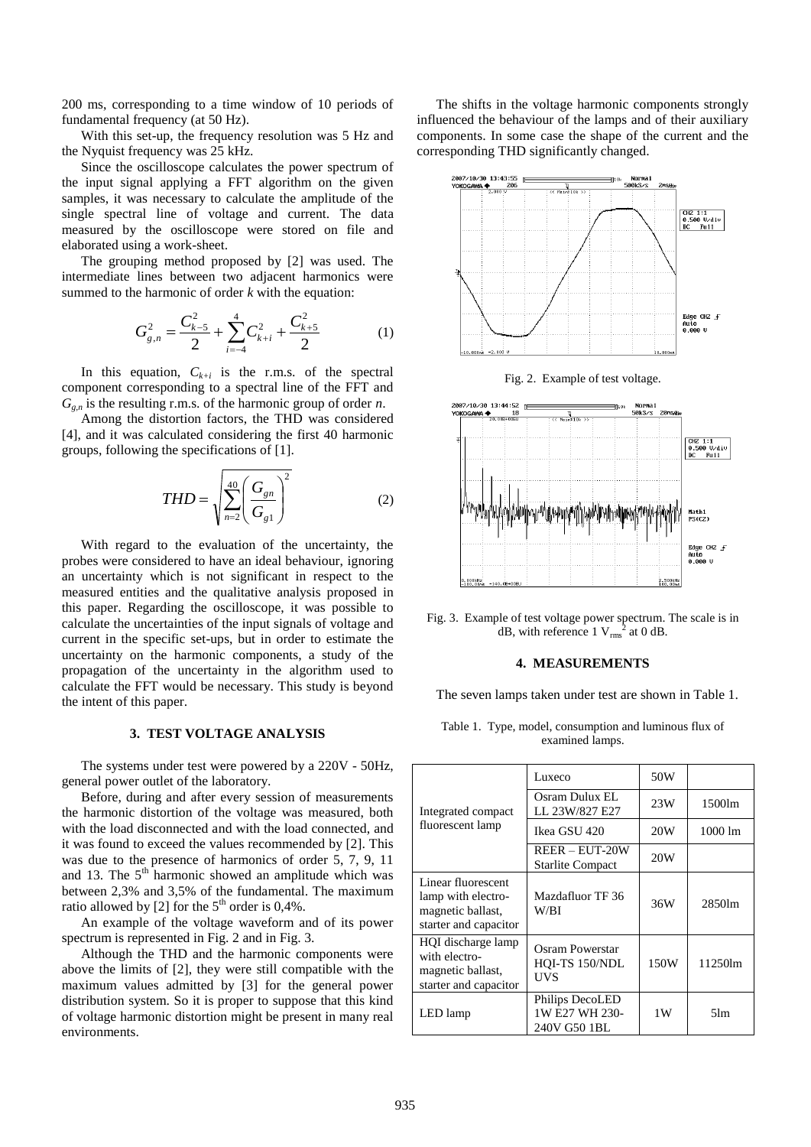200 ms, corresponding to a time window of 10 periods of fundamental frequency (at 50 Hz).

With this set-up, the frequency resolution was 5 Hz and the Nyquist frequency was 25 kHz.

Since the oscilloscope calculates the power spectrum of the input signal applying a FFT algorithm on the given samples, it was necessary to calculate the amplitude of the single spectral line of voltage and current. The data measured by the oscilloscope were stored on file and elaborated using a work-sheet.

The grouping method proposed by [2] was used. The intermediate lines between two adjacent harmonics were summed to the harmonic of order *k* with the equation:

$$
G_{g,n}^2 = \frac{C_{k-5}^2}{2} + \sum_{i=-4}^4 C_{k+i}^2 + \frac{C_{k+5}^2}{2}
$$
 (1)

In this equation,  $C_{k+i}$  is the r.m.s. of the spectral component corresponding to a spectral line of the FFT and  $G_{g,n}$  is the resulting r.m.s. of the harmonic group of order *n*.

Among the distortion factors, the THD was considered [4], and it was calculated considering the first 40 harmonic groups, following the specifications of [1].

$$
THD = \sqrt{\sum_{n=2}^{40} \left( \frac{G_{gn}}{G_{gl}} \right)^2}
$$
 (2)

With regard to the evaluation of the uncertainty, the probes were considered to have an ideal behaviour, ignoring an uncertainty which is not significant in respect to the measured entities and the qualitative analysis proposed in this paper. Regarding the oscilloscope, it was possible to calculate the uncertainties of the input signals of voltage and current in the specific set-ups, but in order to estimate the uncertainty on the harmonic components, a study of the propagation of the uncertainty in the algorithm used to calculate the FFT would be necessary. This study is beyond the intent of this paper.

## **3. TEST VOLTAGE ANALYSIS**

The systems under test were powered by a 220V - 50Hz, general power outlet of the laboratory.

Before, during and after every session of measurements the harmonic distortion of the voltage was measured, both with the load disconnected and with the load connected, and it was found to exceed the values recommended by [2]. This was due to the presence of harmonics of order 5, 7, 9, 11 and 13. The  $5<sup>th</sup>$  harmonic showed an amplitude which was between 2,3% and 3,5% of the fundamental. The maximum ratio allowed by [2] for the  $5<sup>th</sup>$  order is 0,4%.

An example of the voltage waveform and of its power spectrum is represented in Fig. 2 and in Fig. 3.

Although the THD and the harmonic components were above the limits of [2], they were still compatible with the maximum values admitted by [3] for the general power distribution system. So it is proper to suppose that this kind of voltage harmonic distortion might be present in many real environments.

The shifts in the voltage harmonic components strongly influenced the behaviour of the lamps and of their auxiliary components. In some case the shape of the current and the corresponding THD significantly changed.



Fig. 3. Example of test voltage power spectrum. The scale is in dB, with reference  $1 \text{ V}_{\text{rms}}^2$  at 0 dB.

#### **4. MEASUREMENTS**

The seven lamps taken under test are shown in Table 1.

Table 1. Type, model, consumption and luminous flux of examined lamps.

| Integrated compact<br>fluorescent lamp                                                 | Luxeco                                            | 50W  |                   |  |
|----------------------------------------------------------------------------------------|---------------------------------------------------|------|-------------------|--|
|                                                                                        | Osram Dulux EL<br>LL 23W/827 E27                  | 23W  | 1500lm            |  |
|                                                                                        | Ikea GSU 420                                      | 20W  | $1000 \text{ lm}$ |  |
|                                                                                        | $REER - EUT-20W$<br><b>Starlite Compact</b>       | 20W  |                   |  |
| Linear fluorescent<br>lamp with electro-<br>magnetic ballast,<br>starter and capacitor | Mazdafluor TF 36<br>W/BI                          | 36W  | 2850lm            |  |
| HQI discharge lamp<br>with electro-<br>magnetic ballast,<br>starter and capacitor      | Osram Powerstar<br>HOI-TS 150/NDL<br>UVS          | 150W | 11250lm           |  |
| LED lamp                                                                               | Philips DecoLED<br>1W E27 WH 230-<br>240V G50 1BL | 1 W  | 5 <sub>lm</sub>   |  |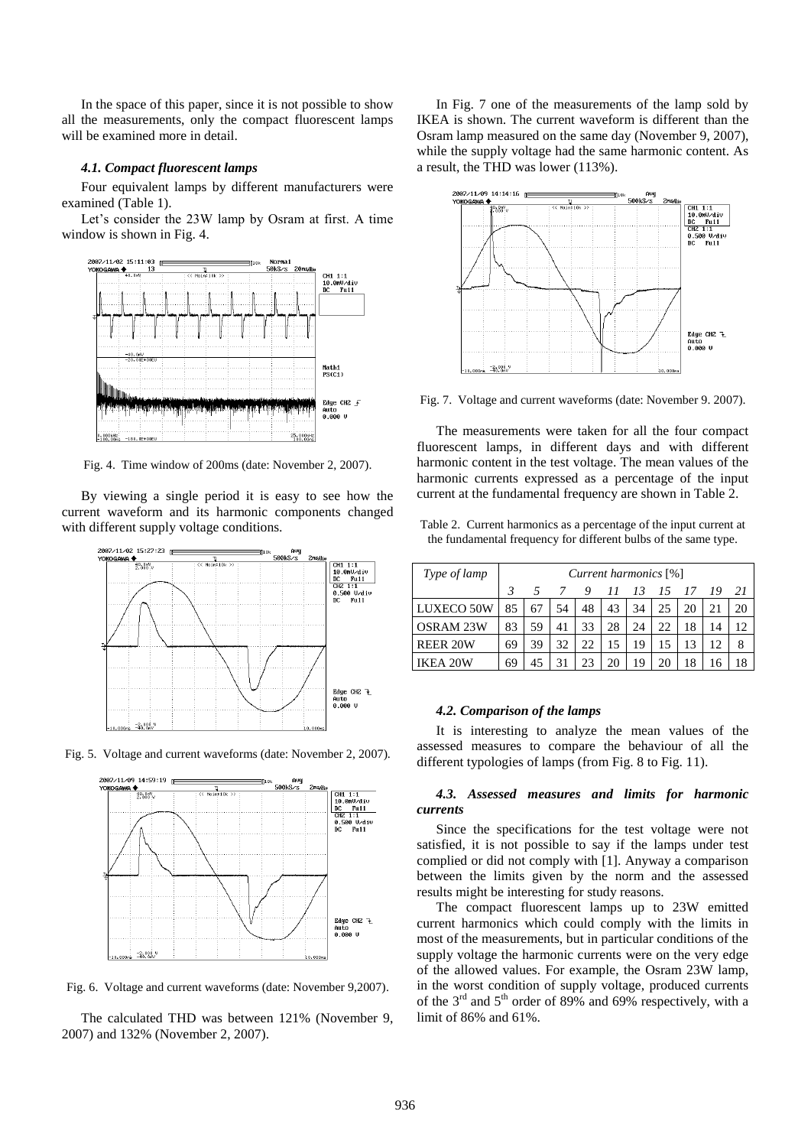In the space of this paper, since it is not possible to show all the measurements, only the compact fluorescent lamps will be examined more in detail.

#### *4.1. Compact fluorescent lamps*

Four equivalent lamps by different manufacturers were examined (Table 1).

Let's consider the 23W lamp by Osram at first. A time window is shown in Fig. 4.



Fig. 4. Time window of 200ms (date: November 2, 2007).

By viewing a single period it is easy to see how the current waveform and its harmonic components changed with different supply voltage conditions.



Fig. 5. Voltage and current waveforms (date: November 2, 2007).



Fig. 6. Voltage and current waveforms (date: November 9,2007).

The calculated THD was between 121% (November 9, 2007) and 132% (November 2, 2007).

In Fig. 7 one of the measurements of the lamp sold by IKEA is shown. The current waveform is different than the Osram lamp measured on the same day (November 9, 2007), while the supply voltage had the same harmonic content. As a result, the THD was lower (113%).



Fig. 7. Voltage and current waveforms (date: November 9. 2007).

The measurements were taken for all the four compact fluorescent lamps, in different days and with different harmonic content in the test voltage. The mean values of the harmonic currents expressed as a percentage of the input current at the fundamental frequency are shown in Table 2.

Table 2. Current harmonics as a percentage of the input current at the fundamental frequency for different bulbs of the same type.

| Type of lamp    | Current harmonics [%] |    |    |    |    |    |      |      |    |    |
|-----------------|-----------------------|----|----|----|----|----|------|------|----|----|
|                 | 3                     | 5  |    | 9  | 11 | 13 | - 15 | - 17 | 19 | 21 |
| LUXECO 50W      | 85                    | 67 | 54 | 48 | 43 | 34 | 25   | 20   | 21 | 20 |
| OSRAM 23W       | 83                    | 59 | 41 | 33 | 28 | 24 | 22   | 18   | 14 | 12 |
| <b>REER 20W</b> | 69                    | 39 | 32 | 22 | 15 | 19 | 15   |      | 12 | 8  |
| IKEA 20W        | 69                    | 45 |    |    | 20 | 19 | 20   |      |    | 18 |

## *4.2. Comparison of the lamps*

It is interesting to analyze the mean values of the assessed measures to compare the behaviour of all the different typologies of lamps (from Fig. 8 to Fig. 11).

# *4.3. Assessed measures and limits for harmonic currents*

Since the specifications for the test voltage were not satisfied, it is not possible to say if the lamps under test complied or did not comply with [1]. Anyway a comparison between the limits given by the norm and the assessed results might be interesting for study reasons.

The compact fluorescent lamps up to 23W emitted current harmonics which could comply with the limits in most of the measurements, but in particular conditions of the supply voltage the harmonic currents were on the very edge of the allowed values. For example, the Osram 23W lamp, in the worst condition of supply voltage, produced currents of the  $3<sup>rd</sup>$  and  $5<sup>th</sup>$  order of 89% and 69% respectively, with a limit of 86% and 61%.